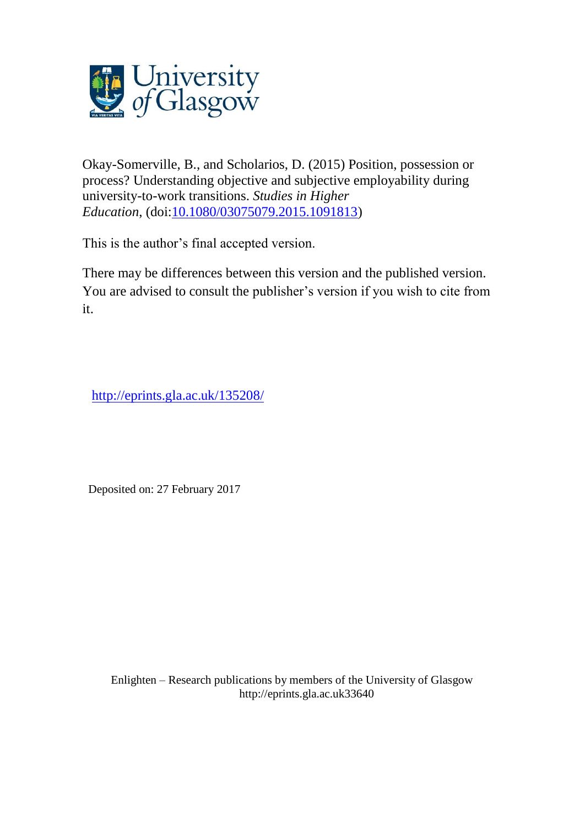

Okay-Somerville, B., and Scholarios, D. (2015) Position, possession or process? Understanding objective and subjective employability during university-to-work transitions. *Studies in Higher Education*, (doi[:10.1080/03075079.2015.1091813\)](http://dx.doi.org/10.1080/03075079.2015.1091813)

This is the author's final accepted version.

There may be differences between this version and the published version. You are advised to consult the publisher's version if you wish to cite from it.

[http://eprints.gla.ac.uk/135208/](http://eprints.gla.ac.uk/137392/)

Deposited on: 27 February 2017

Enlighten – Research publications by members of the University of Glasgo[w](http://eprints.gla.ac.uk/) [http://eprints.gla.ac.uk3](http://eprints.gla.ac.uk/)3640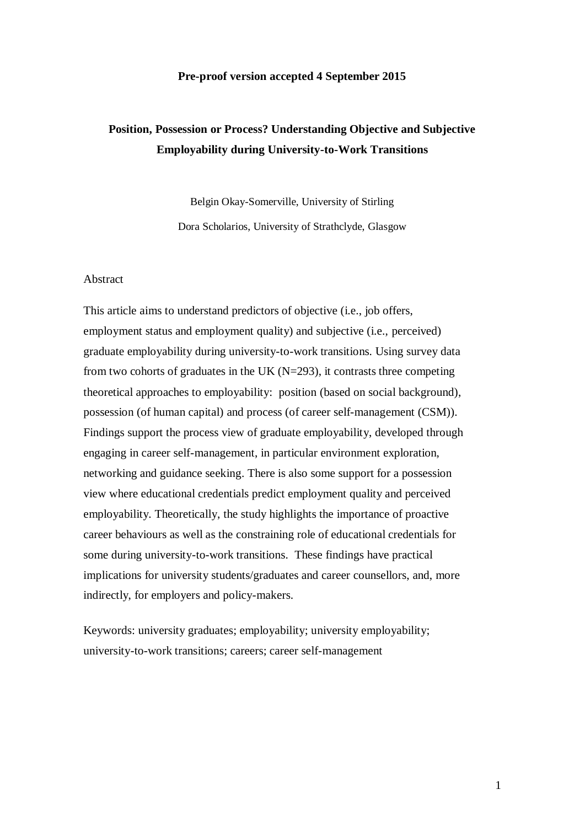### **Pre-proof version accepted 4 September 2015**

# **Position, Possession or Process? Understanding Objective and Subjective Employability during University-to-Work Transitions**

Belgin Okay-Somerville, University of Stirling Dora Scholarios, University of Strathclyde, Glasgow

### Abstract

This article aims to understand predictors of objective (i.e., job offers, employment status and employment quality) and subjective (i.e., perceived) graduate employability during university-to-work transitions. Using survey data from two cohorts of graduates in the UK  $(N=293)$ , it contrasts three competing theoretical approaches to employability: position (based on social background), possession (of human capital) and process (of career self-management (CSM)). Findings support the process view of graduate employability, developed through engaging in career self-management, in particular environment exploration, networking and guidance seeking. There is also some support for a possession view where educational credentials predict employment quality and perceived employability. Theoretically, the study highlights the importance of proactive career behaviours as well as the constraining role of educational credentials for some during university-to-work transitions. These findings have practical implications for university students/graduates and career counsellors, and, more indirectly, for employers and policy-makers.

Keywords: university graduates; employability; university employability; university-to-work transitions; careers; career self-management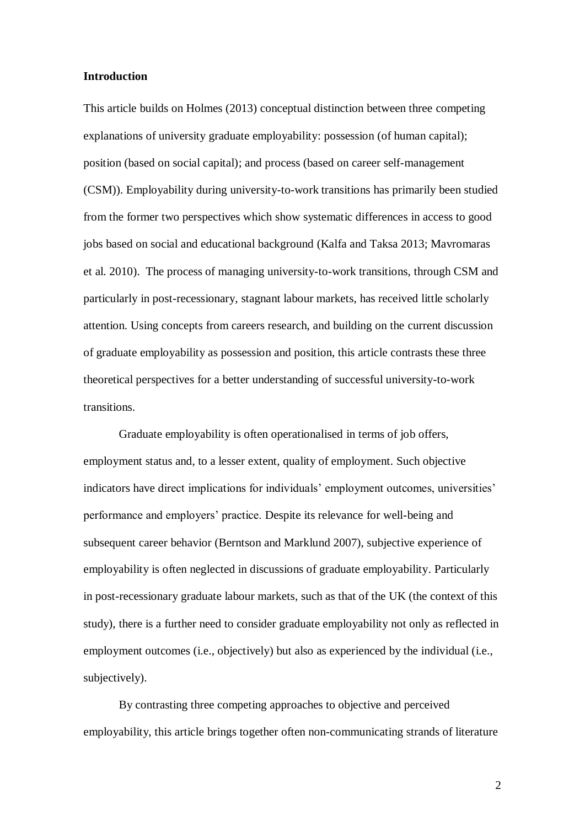### **Introduction**

This article builds on Holmes (2013) conceptual distinction between three competing explanations of university graduate employability: possession (of human capital); position (based on social capital); and process (based on career self-management (CSM)). Employability during university-to-work transitions has primarily been studied from the former two perspectives which show systematic differences in access to good jobs based on social and educational background (Kalfa and Taksa 2013; Mavromaras et al. 2010). The process of managing university-to-work transitions, through CSM and particularly in post-recessionary, stagnant labour markets, has received little scholarly attention. Using concepts from careers research, and building on the current discussion of graduate employability as possession and position, this article contrasts these three theoretical perspectives for a better understanding of successful university-to-work transitions.

Graduate employability is often operationalised in terms of job offers, employment status and, to a lesser extent, quality of employment. Such objective indicators have direct implications for individuals' employment outcomes, universities' performance and employers' practice. Despite its relevance for well-being and subsequent career behavior (Berntson and Marklund 2007), subjective experience of employability is often neglected in discussions of graduate employability. Particularly in post-recessionary graduate labour markets, such as that of the UK (the context of this study), there is a further need to consider graduate employability not only as reflected in employment outcomes (i.e., objectively) but also as experienced by the individual (i.e., subjectively).

By contrasting three competing approaches to objective and perceived employability, this article brings together often non-communicating strands of literature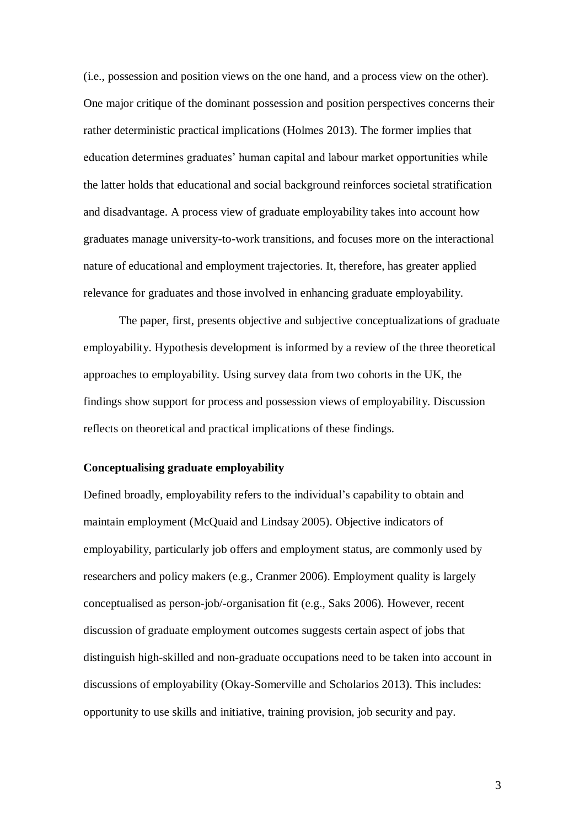(i.e., possession and position views on the one hand, and a process view on the other). One major critique of the dominant possession and position perspectives concerns their rather deterministic practical implications (Holmes 2013). The former implies that education determines graduates' human capital and labour market opportunities while the latter holds that educational and social background reinforces societal stratification and disadvantage. A process view of graduate employability takes into account how graduates manage university-to-work transitions, and focuses more on the interactional nature of educational and employment trajectories. It, therefore, has greater applied relevance for graduates and those involved in enhancing graduate employability.

The paper, first, presents objective and subjective conceptualizations of graduate employability. Hypothesis development is informed by a review of the three theoretical approaches to employability. Using survey data from two cohorts in the UK, the findings show support for process and possession views of employability. Discussion reflects on theoretical and practical implications of these findings.

### **Conceptualising graduate employability**

Defined broadly, employability refers to the individual's capability to obtain and maintain employment (McQuaid and Lindsay 2005). Objective indicators of employability, particularly job offers and employment status, are commonly used by researchers and policy makers (e.g., Cranmer 2006). Employment quality is largely conceptualised as person-job/-organisation fit (e.g., Saks 2006). However, recent discussion of graduate employment outcomes suggests certain aspect of jobs that distinguish high-skilled and non-graduate occupations need to be taken into account in discussions of employability (Okay-Somerville and Scholarios 2013). This includes: opportunity to use skills and initiative, training provision, job security and pay.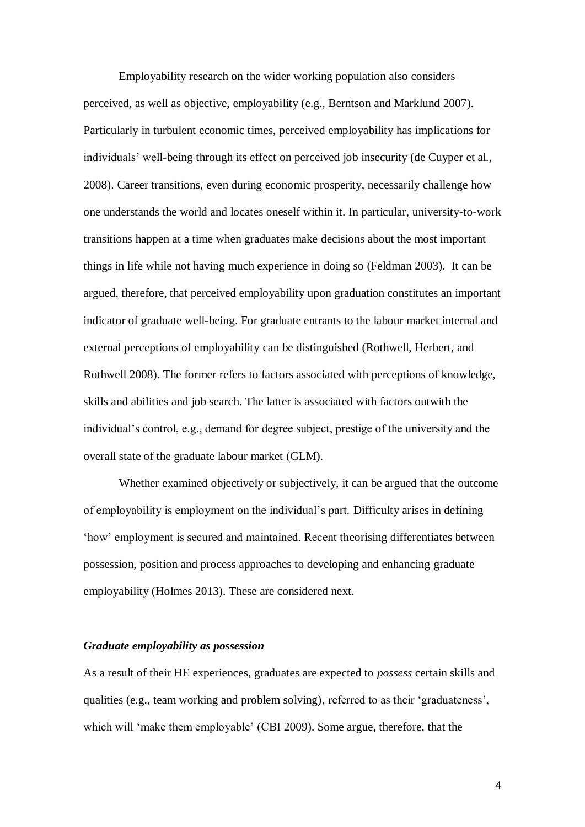Employability research on the wider working population also considers perceived, as well as objective, employability (e.g., Berntson and Marklund 2007). Particularly in turbulent economic times, perceived employability has implications for individuals' well-being through its effect on perceived job insecurity (de Cuyper et al., 2008). Career transitions, even during economic prosperity, necessarily challenge how one understands the world and locates oneself within it. In particular, university-to-work transitions happen at a time when graduates make decisions about the most important things in life while not having much experience in doing so (Feldman 2003). It can be argued, therefore, that perceived employability upon graduation constitutes an important indicator of graduate well-being. For graduate entrants to the labour market internal and external perceptions of employability can be distinguished (Rothwell, Herbert, and Rothwell 2008). The former refers to factors associated with perceptions of knowledge, skills and abilities and job search. The latter is associated with factors outwith the individual's control, e.g., demand for degree subject, prestige of the university and the overall state of the graduate labour market (GLM).

Whether examined objectively or subjectively, it can be argued that the outcome of employability is employment on the individual's part. Difficulty arises in defining 'how' employment is secured and maintained. Recent theorising differentiates between possession, position and process approaches to developing and enhancing graduate employability (Holmes 2013). These are considered next.

#### *Graduate employability as possession*

As a result of their HE experiences, graduates are expected to *possess* certain skills and qualities (e.g., team working and problem solving), referred to as their 'graduateness', which will 'make them employable' (CBI 2009). Some argue, therefore, that the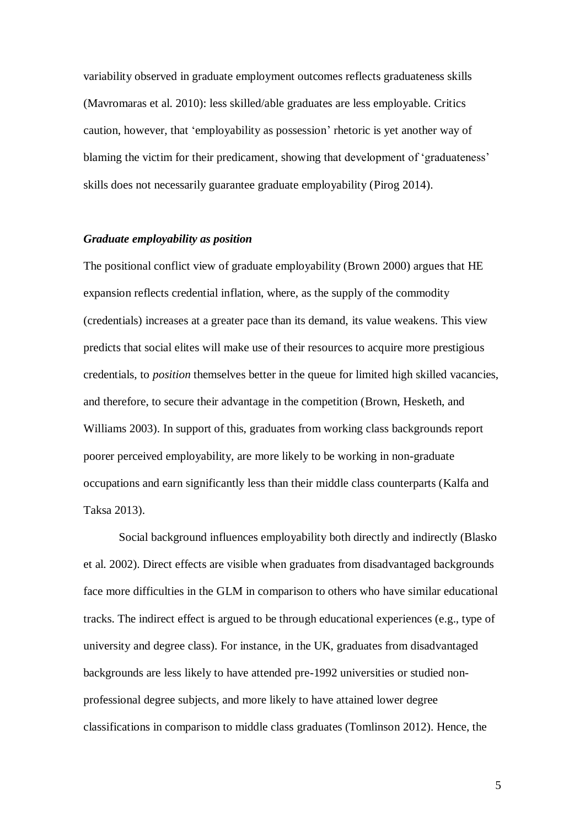variability observed in graduate employment outcomes reflects graduateness skills (Mavromaras et al. 2010): less skilled/able graduates are less employable. Critics caution, however, that 'employability as possession' rhetoric is yet another way of blaming the victim for their predicament, showing that development of 'graduateness' skills does not necessarily guarantee graduate employability (Pirog 2014).

### *Graduate employability as position*

The positional conflict view of graduate employability (Brown 2000) argues that HE expansion reflects credential inflation, where, as the supply of the commodity (credentials) increases at a greater pace than its demand, its value weakens. This view predicts that social elites will make use of their resources to acquire more prestigious credentials, to *position* themselves better in the queue for limited high skilled vacancies, and therefore, to secure their advantage in the competition (Brown, Hesketh, and Williams 2003). In support of this, graduates from working class backgrounds report poorer perceived employability, are more likely to be working in non-graduate occupations and earn significantly less than their middle class counterparts (Kalfa and Taksa 2013).

Social background influences employability both directly and indirectly (Blasko et al. 2002). Direct effects are visible when graduates from disadvantaged backgrounds face more difficulties in the GLM in comparison to others who have similar educational tracks. The indirect effect is argued to be through educational experiences (e.g., type of university and degree class). For instance, in the UK, graduates from disadvantaged backgrounds are less likely to have attended pre-1992 universities or studied nonprofessional degree subjects, and more likely to have attained lower degree classifications in comparison to middle class graduates (Tomlinson 2012). Hence, the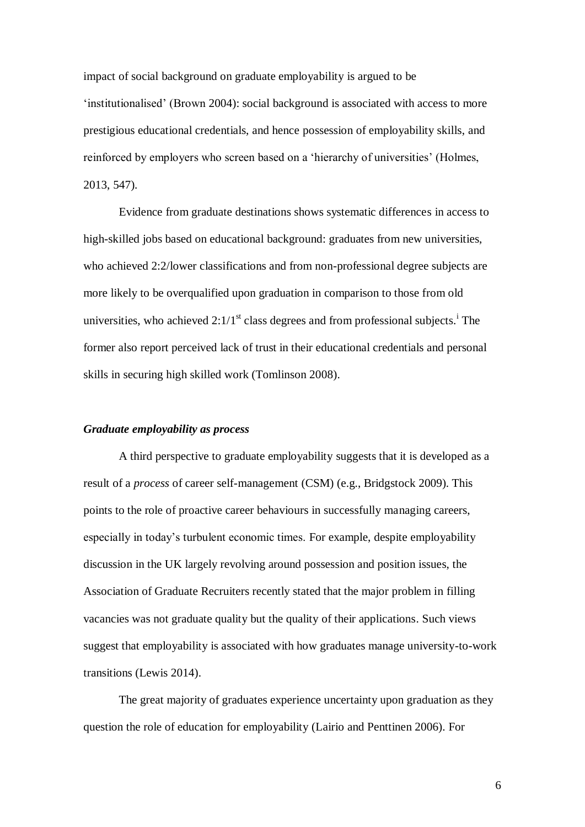impact of social background on graduate employability is argued to be 'institutionalised' (Brown 2004): social background is associated with access to more prestigious educational credentials, and hence possession of employability skills, and reinforced by employers who screen based on a 'hierarchy of universities' (Holmes, 2013, 547).

Evidence from graduate destinations shows systematic differences in access to high-skilled jobs based on educational background: graduates from new universities, who achieved 2:2/lower classifications and from non-professional degree subjects are more likely to be overqualified upon graduation in comparison to those from old universities, who achieved  $2:1/1<sup>st</sup>$  class degrees and from professional subjects.<sup>1</sup> The former also report perceived lack of trust in their educational credentials and personal skills in securing high skilled work (Tomlinson 2008).

#### *Graduate employability as process*

A third perspective to graduate employability suggests that it is developed as a result of a *process* of career self-management (CSM) (e.g., Bridgstock 2009). This points to the role of proactive career behaviours in successfully managing careers, especially in today's turbulent economic times. For example, despite employability discussion in the UK largely revolving around possession and position issues, the Association of Graduate Recruiters recently stated that the major problem in filling vacancies was not graduate quality but the quality of their applications. Such views suggest that employability is associated with how graduates manage university-to-work transitions (Lewis 2014).

The great majority of graduates experience uncertainty upon graduation as they question the role of education for employability (Lairio and Penttinen 2006). For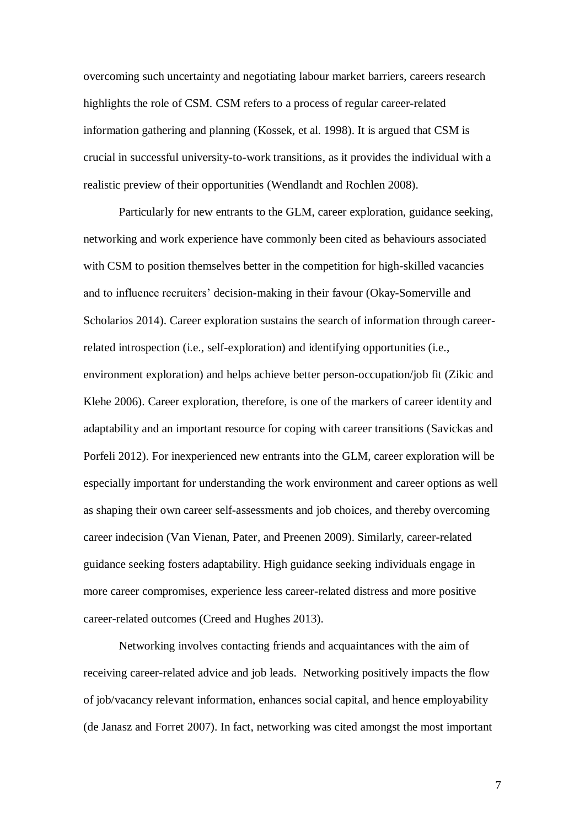overcoming such uncertainty and negotiating labour market barriers, careers research highlights the role of CSM. CSM refers to a process of regular career-related information gathering and planning (Kossek, et al. 1998). It is argued that CSM is crucial in successful university-to-work transitions, as it provides the individual with a realistic preview of their opportunities (Wendlandt and Rochlen 2008).

Particularly for new entrants to the GLM, career exploration, guidance seeking, networking and work experience have commonly been cited as behaviours associated with CSM to position themselves better in the competition for high-skilled vacancies and to influence recruiters' decision-making in their favour (Okay-Somerville and Scholarios 2014). Career exploration sustains the search of information through careerrelated introspection (i.e., self-exploration) and identifying opportunities (i.e., environment exploration) and helps achieve better person-occupation/job fit (Zikic and Klehe 2006). Career exploration, therefore, is one of the markers of career identity and adaptability and an important resource for coping with career transitions (Savickas and Porfeli 2012). For inexperienced new entrants into the GLM, career exploration will be especially important for understanding the work environment and career options as well as shaping their own career self-assessments and job choices, and thereby overcoming career indecision (Van Vienan, Pater, and Preenen 2009). Similarly, career-related guidance seeking fosters adaptability. High guidance seeking individuals engage in more career compromises, experience less career-related distress and more positive career-related outcomes (Creed and Hughes 2013).

Networking involves contacting friends and acquaintances with the aim of receiving career-related advice and job leads. Networking positively impacts the flow of job/vacancy relevant information, enhances social capital, and hence employability (de Janasz and Forret 2007). In fact, networking was cited amongst the most important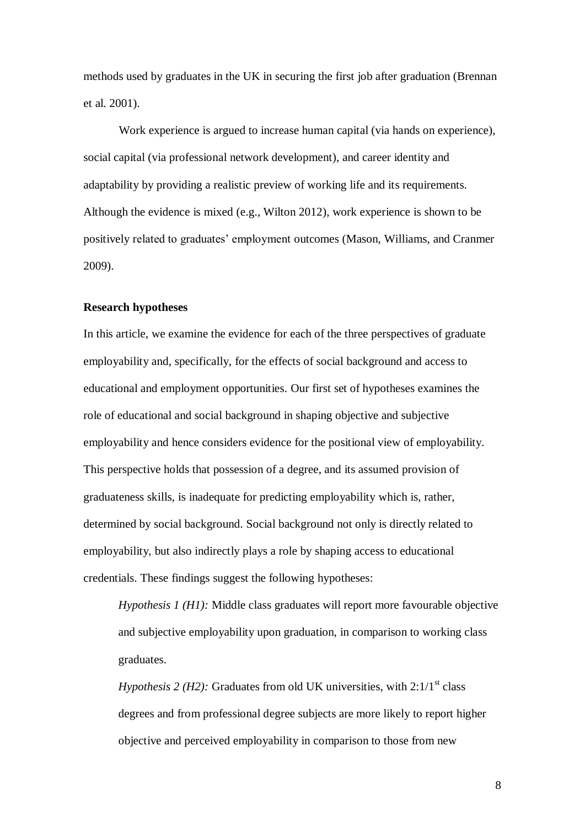methods used by graduates in the UK in securing the first job after graduation (Brennan et al. 2001).

Work experience is argued to increase human capital (via hands on experience), social capital (via professional network development), and career identity and adaptability by providing a realistic preview of working life and its requirements. Although the evidence is mixed (e.g., Wilton 2012), work experience is shown to be positively related to graduates' employment outcomes (Mason, Williams, and Cranmer 2009).

### **Research hypotheses**

In this article, we examine the evidence for each of the three perspectives of graduate employability and, specifically, for the effects of social background and access to educational and employment opportunities. Our first set of hypotheses examines the role of educational and social background in shaping objective and subjective employability and hence considers evidence for the positional view of employability. This perspective holds that possession of a degree, and its assumed provision of graduateness skills, is inadequate for predicting employability which is, rather, determined by social background. Social background not only is directly related to employability, but also indirectly plays a role by shaping access to educational credentials. These findings suggest the following hypotheses:

*Hypothesis 1 (H1):* Middle class graduates will report more favourable objective and subjective employability upon graduation, in comparison to working class graduates.

*Hypothesis 2 (H2):* Graduates from old UK universities, with  $2:1/1<sup>st</sup>$  class degrees and from professional degree subjects are more likely to report higher objective and perceived employability in comparison to those from new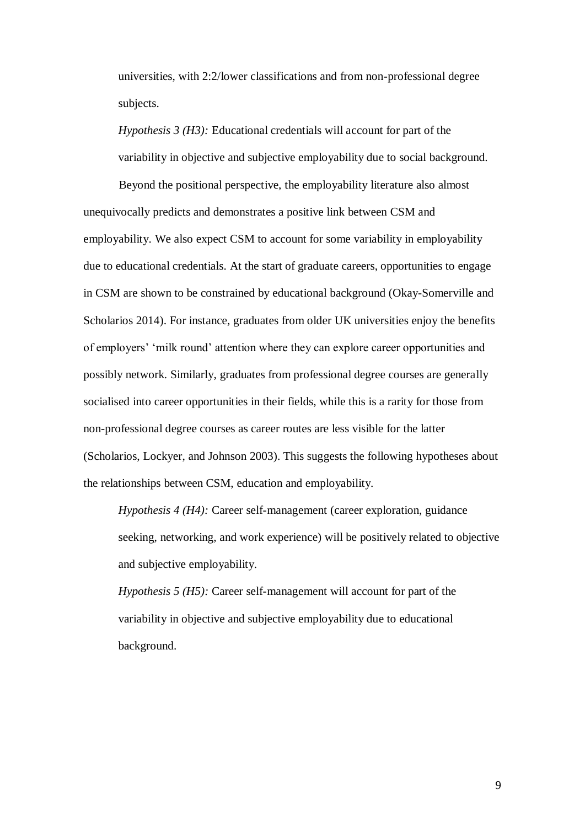universities, with 2:2/lower classifications and from non-professional degree subjects.

*Hypothesis 3 (H3):* Educational credentials will account for part of the variability in objective and subjective employability due to social background.

Beyond the positional perspective, the employability literature also almost unequivocally predicts and demonstrates a positive link between CSM and employability. We also expect CSM to account for some variability in employability due to educational credentials. At the start of graduate careers, opportunities to engage in CSM are shown to be constrained by educational background (Okay-Somerville and Scholarios 2014). For instance, graduates from older UK universities enjoy the benefits of employers' 'milk round' attention where they can explore career opportunities and possibly network. Similarly, graduates from professional degree courses are generally socialised into career opportunities in their fields, while this is a rarity for those from non-professional degree courses as career routes are less visible for the latter (Scholarios, Lockyer, and Johnson 2003). This suggests the following hypotheses about the relationships between CSM, education and employability.

*Hypothesis 4 (H4):* Career self-management (career exploration, guidance seeking, networking, and work experience) will be positively related to objective and subjective employability.

*Hypothesis 5 (H5):* Career self-management will account for part of the variability in objective and subjective employability due to educational background.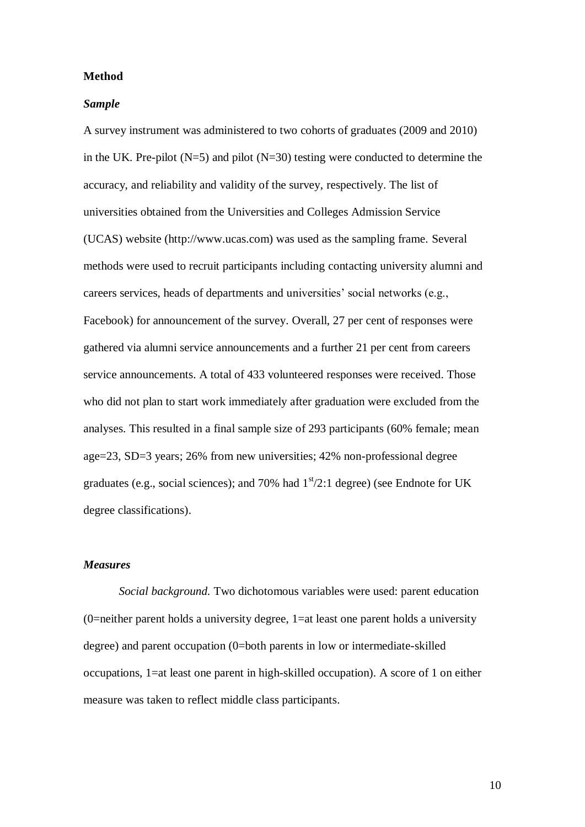### **Method**

### *Sample*

A survey instrument was administered to two cohorts of graduates (2009 and 2010) in the UK. Pre-pilot  $(N=5)$  and pilot  $(N=30)$  testing were conducted to determine the accuracy, and reliability and validity of the survey, respectively. The list of universities obtained from the Universities and Colleges Admission Service (UCAS) website (http://www.ucas.com) was used as the sampling frame. Several methods were used to recruit participants including contacting university alumni and careers services, heads of departments and universities' social networks (e.g., Facebook) for announcement of the survey. Overall, 27 per cent of responses were gathered via alumni service announcements and a further 21 per cent from careers service announcements. A total of 433 volunteered responses were received. Those who did not plan to start work immediately after graduation were excluded from the analyses. This resulted in a final sample size of 293 participants (60% female; mean age=23, SD=3 years; 26% from new universities; 42% non-professional degree graduates (e.g., social sciences); and 70% had  $1<sup>st</sup>/2:1$  degree) (see Endnote for UK degree classifications).

### *Measures*

*Social background.* Two dichotomous variables were used: parent education (0=neither parent holds a university degree, 1=at least one parent holds a university degree) and parent occupation (0=both parents in low or intermediate-skilled occupations, 1=at least one parent in high-skilled occupation). A score of 1 on either measure was taken to reflect middle class participants.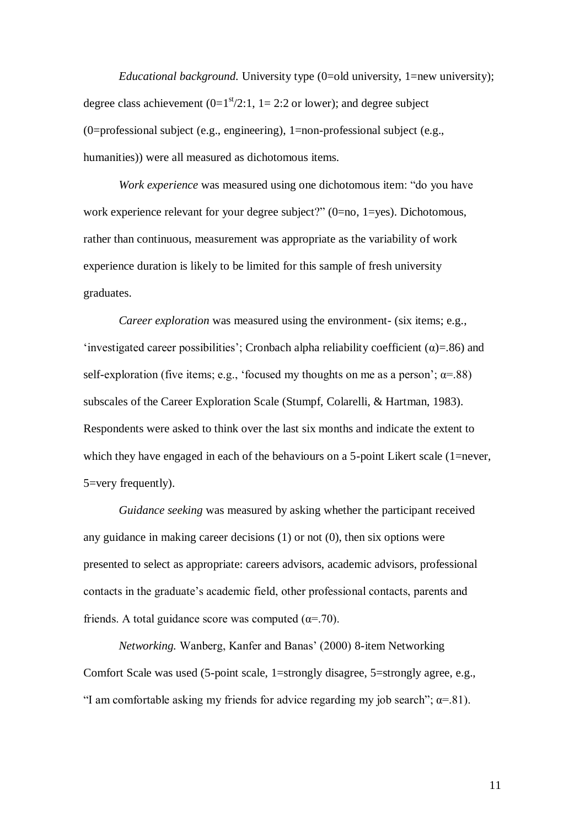*Educational background.* University type (0=old university, 1=new university); degree class achievement  $(0=1<sup>st</sup>/2:1, 1=2:2$  or lower); and degree subject (0=professional subject (e.g., engineering), 1=non-professional subject (e.g., humanities)) were all measured as dichotomous items.

*Work experience* was measured using one dichotomous item: "do you have work experience relevant for your degree subject?" (0=no, 1=yes). Dichotomous, rather than continuous, measurement was appropriate as the variability of work experience duration is likely to be limited for this sample of fresh university graduates.

*Career exploration* was measured using the environment- (six items; e.g., 'investigated career possibilities'; Cronbach alpha reliability coefficient  $(\alpha)$ =.86) and self-exploration (five items; e.g., 'focused my thoughts on me as a person';  $\alpha = 88$ ) subscales of the Career Exploration Scale (Stumpf, Colarelli, & Hartman, 1983). Respondents were asked to think over the last six months and indicate the extent to which they have engaged in each of the behaviours on a 5-point Likert scale (1=never, 5=very frequently).

*Guidance seeking* was measured by asking whether the participant received any guidance in making career decisions (1) or not (0), then six options were presented to select as appropriate: careers advisors, academic advisors, professional contacts in the graduate's academic field, other professional contacts, parents and friends. A total guidance score was computed ( $\alpha$ =.70).

*Networking.* Wanberg, Kanfer and Banas' (2000) 8-item Networking Comfort Scale was used (5-point scale, 1=strongly disagree, 5=strongly agree, e.g., "I am comfortable asking my friends for advice regarding my job search";  $\alpha$ =.81).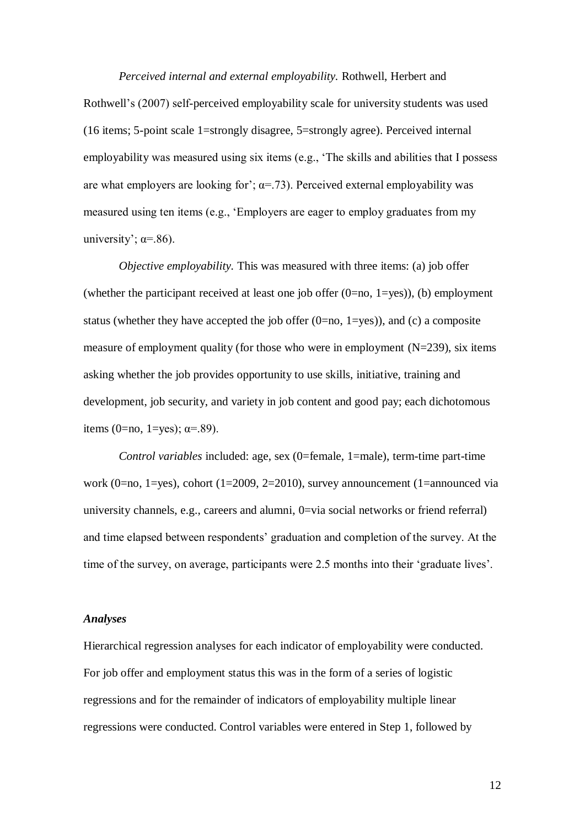*Perceived internal and external employability.* Rothwell, Herbert and Rothwell's (2007) self-perceived employability scale for university students was used (16 items; 5-point scale 1=strongly disagree, 5=strongly agree). Perceived internal employability was measured using six items (e.g., 'The skills and abilities that I possess are what employers are looking for';  $\alpha = 73$ ). Perceived external employability was measured using ten items (e.g., 'Employers are eager to employ graduates from my university';  $\alpha = .86$ ).

*Objective employability.* This was measured with three items: (a) job offer (whether the participant received at least one job offer  $(0=no, 1=yes)$ ), (b) employment status (whether they have accepted the job offer  $(0=no, 1=yes)$ ), and  $(c)$  a composite measure of employment quality (for those who were in employment (N=239), six items asking whether the job provides opportunity to use skills, initiative, training and development, job security, and variety in job content and good pay; each dichotomous items (0=no, 1=yes);  $\alpha$ =.89).

*Control variables* included: age, sex (0=female, 1=male), term-time part-time work (0=no, 1=yes), cohort (1=2009, 2=2010), survey announcement (1=announced via university channels, e.g., careers and alumni, 0=via social networks or friend referral) and time elapsed between respondents' graduation and completion of the survey. At the time of the survey, on average, participants were 2.5 months into their 'graduate lives'.

## *Analyses*

Hierarchical regression analyses for each indicator of employability were conducted. For job offer and employment status this was in the form of a series of logistic regressions and for the remainder of indicators of employability multiple linear regressions were conducted. Control variables were entered in Step 1, followed by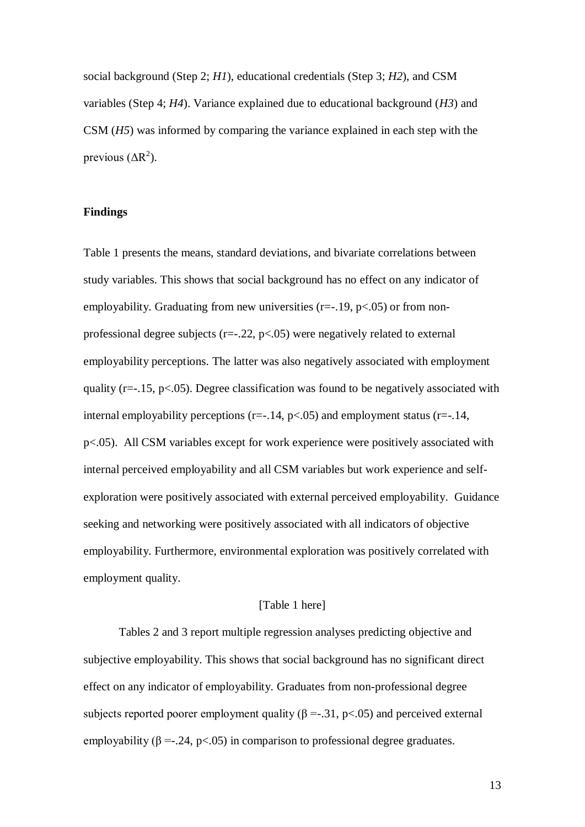social background (Step 2; *H1*), educational credentials (Step 3; *H2*), and CSM variables (Step 4; *H4*). Variance explained due to educational background (*H3*) and CSM (*H5*) was informed by comparing the variance explained in each step with the previous  $(\Delta R^2)$ .

### **Findings**

Table 1 presents the means, standard deviations, and bivariate correlations between study variables. This shows that social background has no effect on any indicator of employability. Graduating from new universities  $(r=-1.19, p<0.05)$  or from nonprofessional degree subjects ( $r=-.22$ ,  $p<-.05$ ) were negatively related to external employability perceptions. The latter was also negatively associated with employment quality ( $r=-.15$ ,  $p<-.05$ ). Degree classification was found to be negatively associated with internal employability perceptions ( $r=-14$ ,  $p<-0.05$ ) and employment status ( $r=-14$ , p<.05). All CSM variables except for work experience were positively associated with internal perceived employability and all CSM variables but work experience and selfexploration were positively associated with external perceived employability. Guidance seeking and networking were positively associated with all indicators of objective employability. Furthermore, environmental exploration was positively correlated with employment quality.

#### [Table 1 here]

Tables 2 and 3 report multiple regression analyses predicting objective and subjective employability. This shows that social background has no significant direct effect on any indicator of employability. Graduates from non-professional degree subjects reported poorer employment quality ( $\beta = -0.31$ , p<.05) and perceived external employability ( $\beta = -0.24$ , p<0.05) in comparison to professional degree graduates.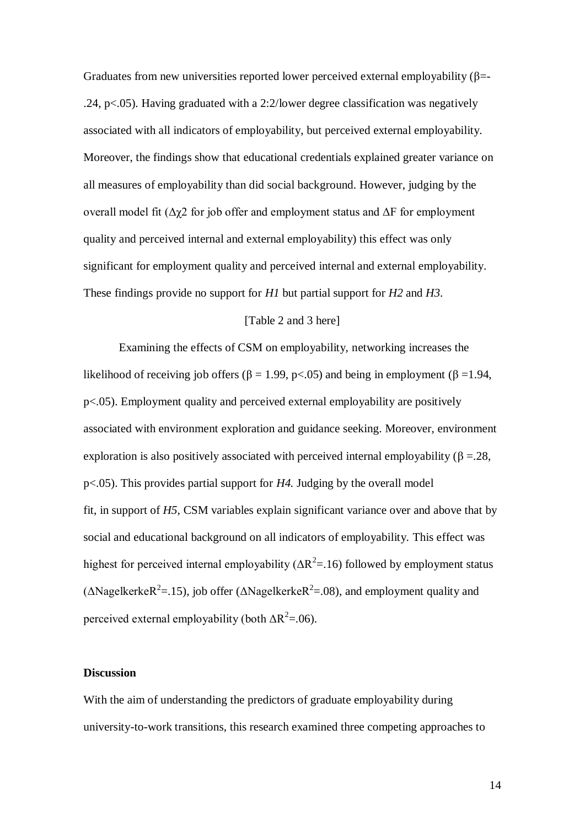Graduates from new universities reported lower perceived external employability ( $\beta$ = .24, p<.05). Having graduated with a 2:2/lower degree classification was negatively associated with all indicators of employability, but perceived external employability. Moreover, the findings show that educational credentials explained greater variance on all measures of employability than did social background. However, judging by the overall model fit ( $\Delta \gamma$ 2 for job offer and employment status and  $\Delta F$  for employment quality and perceived internal and external employability) this effect was only significant for employment quality and perceived internal and external employability. These findings provide no support for *H1* but partial support for *H2* and *H3*.

# [Table 2 and 3 here]

Examining the effects of CSM on employability, networking increases the likelihood of receiving job offers ( $\beta = 1.99$ , p<.05) and being in employment ( $\beta = 1.94$ , p<.05). Employment quality and perceived external employability are positively associated with environment exploration and guidance seeking. Moreover, environment exploration is also positively associated with perceived internal employability ( $\beta = 28$ , p<.05). This provides partial support for *H4.* Judging by the overall model fit, in support of *H5,* CSM variables explain significant variance over and above that by social and educational background on all indicators of employability. This effect was highest for perceived internal employability ( $\Delta R^2$ =.16) followed by employment status ( $\triangle$ Nagelkerke $R^2$ =.15), job offer ( $\triangle$ Nagelkerke $R^2$ =.08), and employment quality and perceived external employability (both  $\Delta R^2 = 0.06$ ).

### **Discussion**

With the aim of understanding the predictors of graduate employability during university-to-work transitions, this research examined three competing approaches to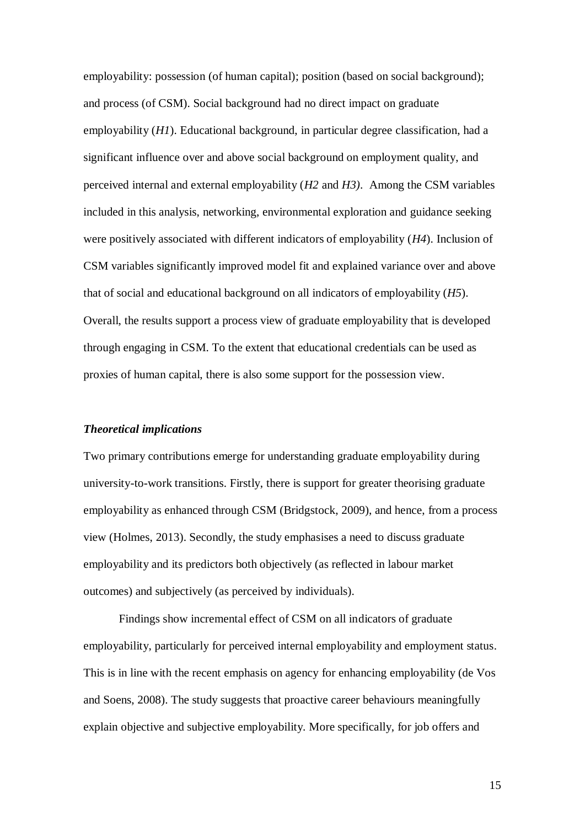employability: possession (of human capital); position (based on social background); and process (of CSM). Social background had no direct impact on graduate employability (*H1*). Educational background, in particular degree classification, had a significant influence over and above social background on employment quality, and perceived internal and external employability (*H2* and *H3)*. Among the CSM variables included in this analysis, networking, environmental exploration and guidance seeking were positively associated with different indicators of employability (*H4*). Inclusion of CSM variables significantly improved model fit and explained variance over and above that of social and educational background on all indicators of employability (*H5*). Overall, the results support a process view of graduate employability that is developed through engaging in CSM. To the extent that educational credentials can be used as proxies of human capital, there is also some support for the possession view.

#### *Theoretical implications*

Two primary contributions emerge for understanding graduate employability during university-to-work transitions. Firstly, there is support for greater theorising graduate employability as enhanced through CSM (Bridgstock, 2009), and hence, from a process view (Holmes, 2013). Secondly, the study emphasises a need to discuss graduate employability and its predictors both objectively (as reflected in labour market outcomes) and subjectively (as perceived by individuals).

Findings show incremental effect of CSM on all indicators of graduate employability, particularly for perceived internal employability and employment status. This is in line with the recent emphasis on agency for enhancing employability (de Vos and Soens, 2008). The study suggests that proactive career behaviours meaningfully explain objective and subjective employability. More specifically, for job offers and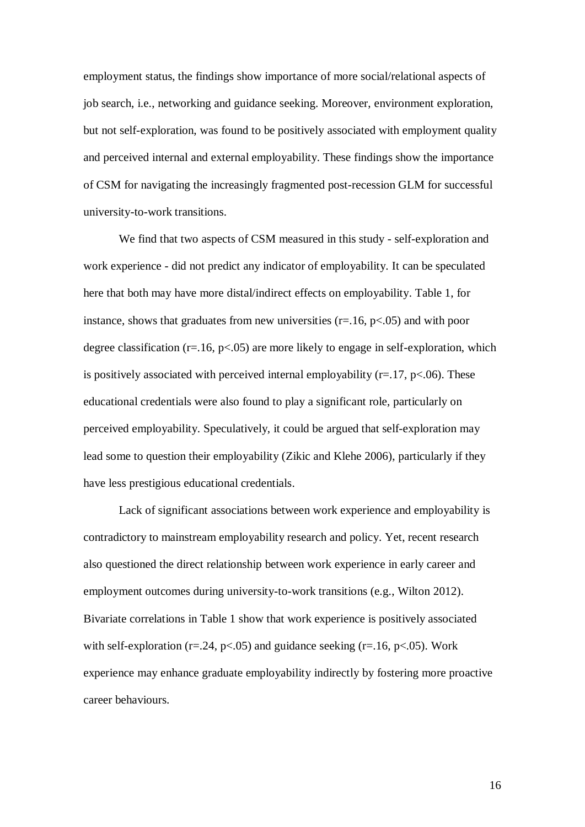employment status, the findings show importance of more social/relational aspects of job search, i.e., networking and guidance seeking. Moreover, environment exploration, but not self-exploration, was found to be positively associated with employment quality and perceived internal and external employability. These findings show the importance of CSM for navigating the increasingly fragmented post-recession GLM for successful university-to-work transitions.

We find that two aspects of CSM measured in this study - self-exploration and work experience - did not predict any indicator of employability. It can be speculated here that both may have more distal/indirect effects on employability. Table 1, for instance, shows that graduates from new universities  $(r=.16, p<.05)$  and with poor degree classification ( $r=16$ ,  $p<.05$ ) are more likely to engage in self-exploration, which is positively associated with perceived internal employability  $(r=17, p<0.06)$ . These educational credentials were also found to play a significant role, particularly on perceived employability. Speculatively, it could be argued that self-exploration may lead some to question their employability (Zikic and Klehe 2006), particularly if they have less prestigious educational credentials.

Lack of significant associations between work experience and employability is contradictory to mainstream employability research and policy. Yet, recent research also questioned the direct relationship between work experience in early career and employment outcomes during university-to-work transitions (e.g., Wilton 2012). Bivariate correlations in Table 1 show that work experience is positively associated with self-exploration ( $r = 0.24$ ,  $p < 0.05$ ) and guidance seeking ( $r = 0.16$ ,  $p < 0.05$ ). Work experience may enhance graduate employability indirectly by fostering more proactive career behaviours.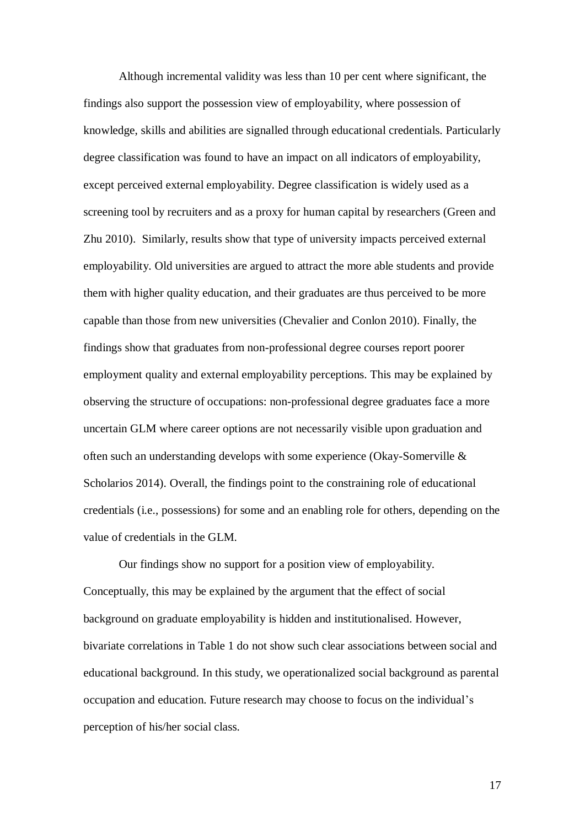Although incremental validity was less than 10 per cent where significant, the findings also support the possession view of employability, where possession of knowledge, skills and abilities are signalled through educational credentials. Particularly degree classification was found to have an impact on all indicators of employability, except perceived external employability. Degree classification is widely used as a screening tool by recruiters and as a proxy for human capital by researchers (Green and Zhu 2010). Similarly, results show that type of university impacts perceived external employability. Old universities are argued to attract the more able students and provide them with higher quality education, and their graduates are thus perceived to be more capable than those from new universities (Chevalier and Conlon 2010). Finally, the findings show that graduates from non-professional degree courses report poorer employment quality and external employability perceptions. This may be explained by observing the structure of occupations: non-professional degree graduates face a more uncertain GLM where career options are not necessarily visible upon graduation and often such an understanding develops with some experience (Okay-Somerville & Scholarios 2014). Overall, the findings point to the constraining role of educational credentials (i.e., possessions) for some and an enabling role for others, depending on the value of credentials in the GLM.

Our findings show no support for a position view of employability. Conceptually, this may be explained by the argument that the effect of social background on graduate employability is hidden and institutionalised. However, bivariate correlations in Table 1 do not show such clear associations between social and educational background. In this study, we operationalized social background as parental occupation and education. Future research may choose to focus on the individual's perception of his/her social class.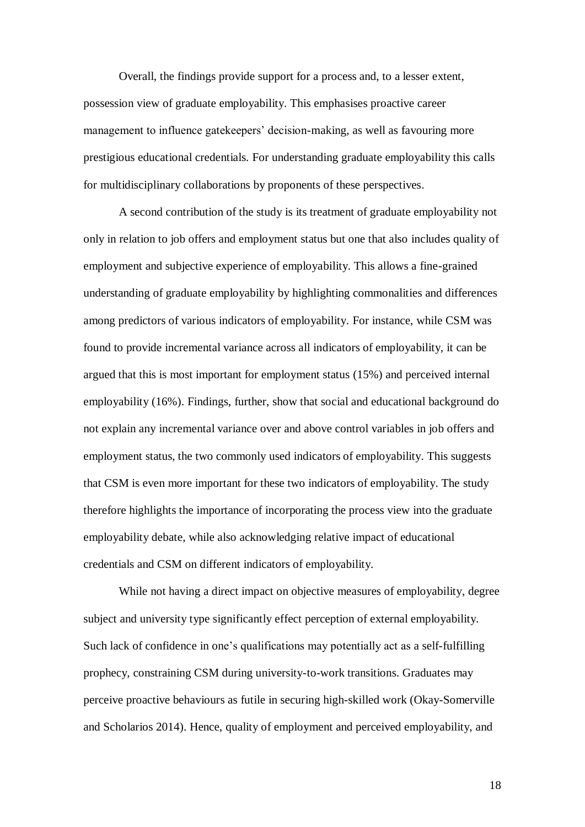Overall, the findings provide support for a process and, to a lesser extent, possession view of graduate employability. This emphasises proactive career management to influence gatekeepers' decision-making, as well as favouring more prestigious educational credentials. For understanding graduate employability this calls for multidisciplinary collaborations by proponents of these perspectives.

A second contribution of the study is its treatment of graduate employability not only in relation to job offers and employment status but one that also includes quality of employment and subjective experience of employability. This allows a fine-grained understanding of graduate employability by highlighting commonalities and differences among predictors of various indicators of employability. For instance, while CSM was found to provide incremental variance across all indicators of employability, it can be argued that this is most important for employment status (15%) and perceived internal employability (16%). Findings, further, show that social and educational background do not explain any incremental variance over and above control variables in job offers and employment status, the two commonly used indicators of employability. This suggests that CSM is even more important for these two indicators of employability. The study therefore highlights the importance of incorporating the process view into the graduate employability debate, while also acknowledging relative impact of educational credentials and CSM on different indicators of employability.

While not having a direct impact on objective measures of employability, degree subject and university type significantly effect perception of external employability. Such lack of confidence in one's qualifications may potentially act as a self-fulfilling prophecy, constraining CSM during university-to-work transitions. Graduates may perceive proactive behaviours as futile in securing high-skilled work (Okay-Somerville and Scholarios 2014). Hence, quality of employment and perceived employability, and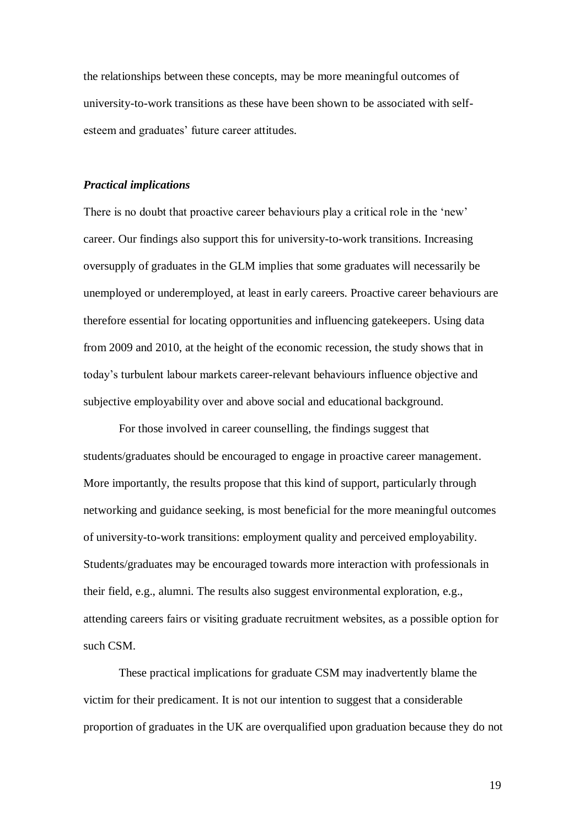the relationships between these concepts, may be more meaningful outcomes of university-to-work transitions as these have been shown to be associated with selfesteem and graduates' future career attitudes.

## *Practical implications*

There is no doubt that proactive career behaviours play a critical role in the 'new' career. Our findings also support this for university-to-work transitions. Increasing oversupply of graduates in the GLM implies that some graduates will necessarily be unemployed or underemployed, at least in early careers. Proactive career behaviours are therefore essential for locating opportunities and influencing gatekeepers. Using data from 2009 and 2010, at the height of the economic recession, the study shows that in today's turbulent labour markets career-relevant behaviours influence objective and subjective employability over and above social and educational background.

For those involved in career counselling, the findings suggest that students/graduates should be encouraged to engage in proactive career management. More importantly, the results propose that this kind of support, particularly through networking and guidance seeking, is most beneficial for the more meaningful outcomes of university-to-work transitions: employment quality and perceived employability. Students/graduates may be encouraged towards more interaction with professionals in their field, e.g., alumni. The results also suggest environmental exploration, e.g., attending careers fairs or visiting graduate recruitment websites, as a possible option for such CSM.

These practical implications for graduate CSM may inadvertently blame the victim for their predicament. It is not our intention to suggest that a considerable proportion of graduates in the UK are overqualified upon graduation because they do not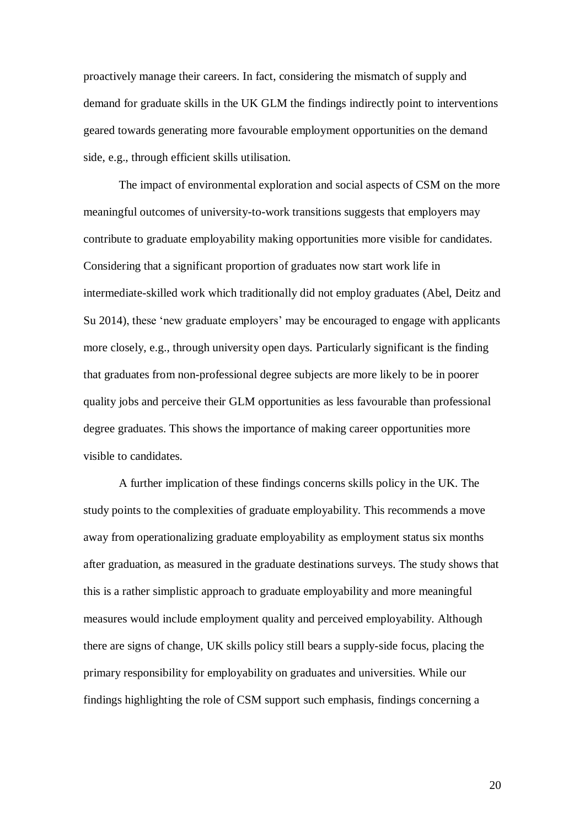proactively manage their careers. In fact, considering the mismatch of supply and demand for graduate skills in the UK GLM the findings indirectly point to interventions geared towards generating more favourable employment opportunities on the demand side, e.g., through efficient skills utilisation.

The impact of environmental exploration and social aspects of CSM on the more meaningful outcomes of university-to-work transitions suggests that employers may contribute to graduate employability making opportunities more visible for candidates. Considering that a significant proportion of graduates now start work life in intermediate-skilled work which traditionally did not employ graduates (Abel, Deitz and Su 2014), these 'new graduate employers' may be encouraged to engage with applicants more closely, e.g., through university open days. Particularly significant is the finding that graduates from non-professional degree subjects are more likely to be in poorer quality jobs and perceive their GLM opportunities as less favourable than professional degree graduates. This shows the importance of making career opportunities more visible to candidates.

A further implication of these findings concerns skills policy in the UK. The study points to the complexities of graduate employability. This recommends a move away from operationalizing graduate employability as employment status six months after graduation, as measured in the graduate destinations surveys. The study shows that this is a rather simplistic approach to graduate employability and more meaningful measures would include employment quality and perceived employability. Although there are signs of change, UK skills policy still bears a supply-side focus, placing the primary responsibility for employability on graduates and universities. While our findings highlighting the role of CSM support such emphasis, findings concerning a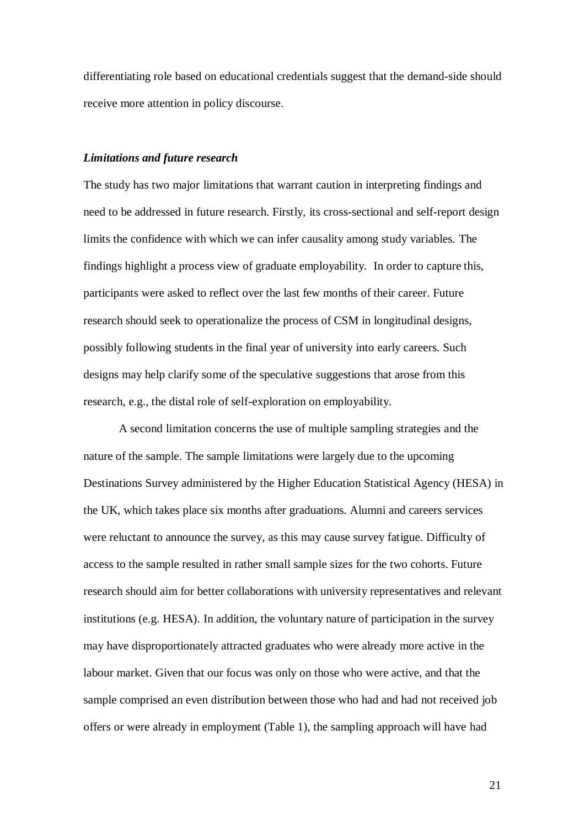differentiating role based on educational credentials suggest that the demand-side should receive more attention in policy discourse.

## *Limitations and future research*

The study has two major limitations that warrant caution in interpreting findings and need to be addressed in future research. Firstly, its cross-sectional and self-report design limits the confidence with which we can infer causality among study variables. The findings highlight a process view of graduate employability. In order to capture this, participants were asked to reflect over the last few months of their career. Future research should seek to operationalize the process of CSM in longitudinal designs, possibly following students in the final year of university into early careers. Such designs may help clarify some of the speculative suggestions that arose from this research, e.g., the distal role of self-exploration on employability.

A second limitation concerns the use of multiple sampling strategies and the nature of the sample. The sample limitations were largely due to the upcoming Destinations Survey administered by the Higher Education Statistical Agency (HESA) in the UK, which takes place six months after graduations. Alumni and careers services were reluctant to announce the survey, as this may cause survey fatigue. Difficulty of access to the sample resulted in rather small sample sizes for the two cohorts. Future research should aim for better collaborations with university representatives and relevant institutions (e.g. HESA). In addition, the voluntary nature of participation in the survey may have disproportionately attracted graduates who were already more active in the labour market. Given that our focus was only on those who were active, and that the sample comprised an even distribution between those who had and had not received job offers or were already in employment (Table 1), the sampling approach will have had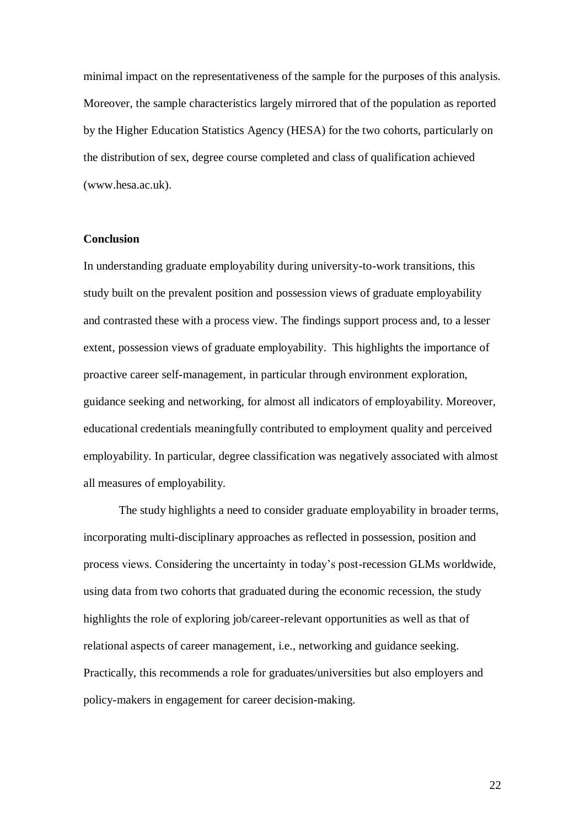minimal impact on the representativeness of the sample for the purposes of this analysis. Moreover, the sample characteristics largely mirrored that of the population as reported by the Higher Education Statistics Agency (HESA) for the two cohorts, particularly on the distribution of sex, degree course completed and class of qualification achieved (www.hesa.ac.uk).

### **Conclusion**

In understanding graduate employability during university-to-work transitions, this study built on the prevalent position and possession views of graduate employability and contrasted these with a process view. The findings support process and, to a lesser extent, possession views of graduate employability. This highlights the importance of proactive career self-management, in particular through environment exploration, guidance seeking and networking, for almost all indicators of employability. Moreover, educational credentials meaningfully contributed to employment quality and perceived employability. In particular, degree classification was negatively associated with almost all measures of employability.

The study highlights a need to consider graduate employability in broader terms, incorporating multi-disciplinary approaches as reflected in possession, position and process views. Considering the uncertainty in today's post-recession GLMs worldwide, using data from two cohorts that graduated during the economic recession, the study highlights the role of exploring job/career-relevant opportunities as well as that of relational aspects of career management, i.e., networking and guidance seeking. Practically, this recommends a role for graduates/universities but also employers and policy-makers in engagement for career decision-making.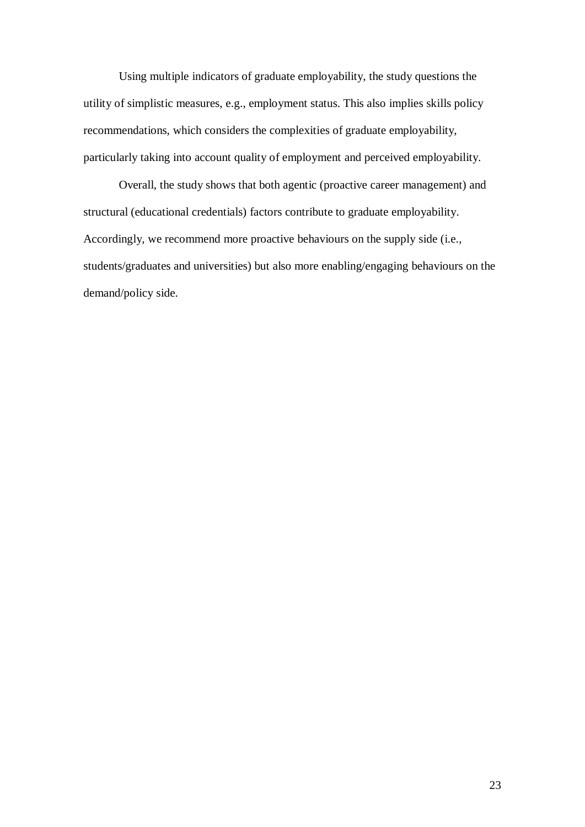Using multiple indicators of graduate employability, the study questions the utility of simplistic measures, e.g., employment status. This also implies skills policy recommendations, which considers the complexities of graduate employability, particularly taking into account quality of employment and perceived employability.

Overall, the study shows that both agentic (proactive career management) and structural (educational credentials) factors contribute to graduate employability. Accordingly, we recommend more proactive behaviours on the supply side (i.e., students/graduates and universities) but also more enabling/engaging behaviours on the demand/policy side.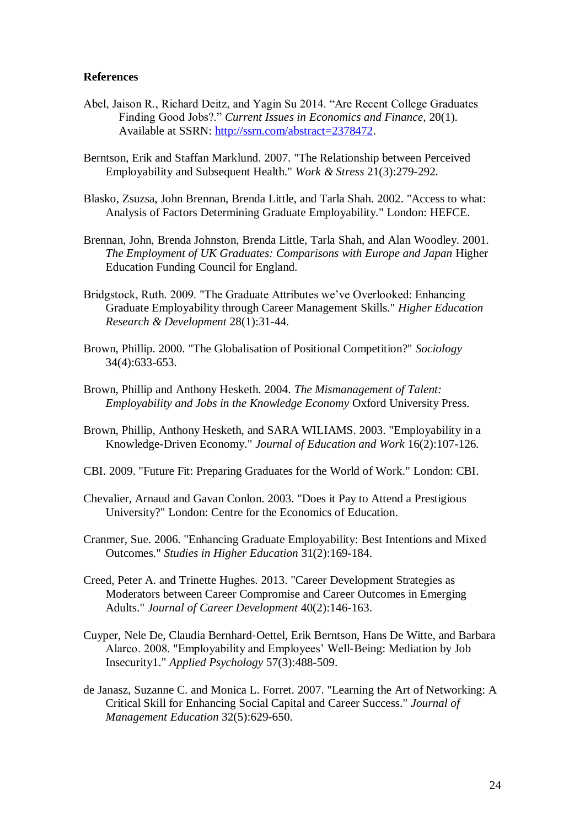### **References**

- Abel, Jaison R., Richard Deitz, and Yagin Su 2014. "Are Recent College Graduates Finding Good Jobs?." *Current Issues in Economics and Finance*, 20(1). Available at SSRN: [http://ssrn.com/abstract=2378472.](http://ssrn.com/abstract=2378472)
- Berntson, Erik and Staffan Marklund. 2007. "The Relationship between Perceived Employability and Subsequent Health." *Work & Stress* 21(3):279-292.
- Blasko, Zsuzsa, John Brennan, Brenda Little, and Tarla Shah. 2002. "Access to what: Analysis of Factors Determining Graduate Employability." London: HEFCE.
- Brennan, John, Brenda Johnston, Brenda Little, Tarla Shah, and Alan Woodley. 2001. *The Employment of UK Graduates: Comparisons with Europe and Japan* Higher Education Funding Council for England.
- Bridgstock, Ruth. 2009. "The Graduate Attributes we've Overlooked: Enhancing Graduate Employability through Career Management Skills." *Higher Education Research & Development* 28(1):31-44.
- Brown, Phillip. 2000. "The Globalisation of Positional Competition?" *Sociology* 34(4):633-653.
- Brown, Phillip and Anthony Hesketh. 2004. *The Mismanagement of Talent: Employability and Jobs in the Knowledge Economy* Oxford University Press.
- Brown, Phillip, Anthony Hesketh, and SARA WILIAMS. 2003. "Employability in a Knowledge-Driven Economy." *Journal of Education and Work* 16(2):107-126.
- CBI. 2009. "Future Fit: Preparing Graduates for the World of Work." London: CBI.
- Chevalier, Arnaud and Gavan Conlon. 2003. "Does it Pay to Attend a Prestigious University?" London: Centre for the Economics of Education.
- Cranmer, Sue. 2006. "Enhancing Graduate Employability: Best Intentions and Mixed Outcomes." *Studies in Higher Education* 31(2):169-184.
- Creed, Peter A. and Trinette Hughes. 2013. "Career Development Strategies as Moderators between Career Compromise and Career Outcomes in Emerging Adults." *Journal of Career Development* 40(2):146-163.
- Cuyper, Nele De, Claudia Bernhard‐Oettel, Erik Berntson, Hans De Witte, and Barbara Alarco. 2008. "Employability and Employees' Well‐Being: Mediation by Job Insecurity1." *Applied Psychology* 57(3):488-509.
- de Janasz, Suzanne C. and Monica L. Forret. 2007. "Learning the Art of Networking: A Critical Skill for Enhancing Social Capital and Career Success." *Journal of Management Education* 32(5):629-650.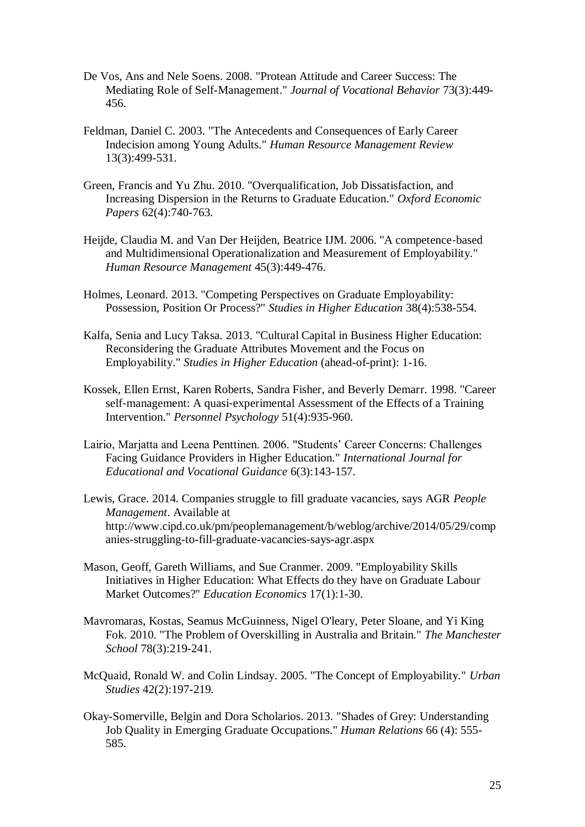- De Vos, Ans and Nele Soens. 2008. "Protean Attitude and Career Success: The Mediating Role of Self-Management." *Journal of Vocational Behavior* 73(3):449- 456.
- Feldman, Daniel C. 2003. "The Antecedents and Consequences of Early Career Indecision among Young Adults." *Human Resource Management Review* 13(3):499-531.
- Green, Francis and Yu Zhu. 2010. "Overqualification, Job Dissatisfaction, and Increasing Dispersion in the Returns to Graduate Education." *Oxford Economic Papers* 62(4):740-763.
- Heijde, Claudia M. and Van Der Heijden, Beatrice IJM. 2006. "A competence‐based and Multidimensional Operationalization and Measurement of Employability." *Human Resource Management* 45(3):449-476.
- Holmes, Leonard. 2013. "Competing Perspectives on Graduate Employability: Possession, Position Or Process?" *Studies in Higher Education* 38(4):538-554.
- Kalfa, Senia and Lucy Taksa. 2013. "Cultural Capital in Business Higher Education: Reconsidering the Graduate Attributes Movement and the Focus on Employability." *Studies in Higher Education* (ahead-of-print): 1-16.
- Kossek, Ellen Ernst, Karen Roberts, Sandra Fisher, and Beverly Demarr. 1998. "Career self-management: A quasi-experimental Assessment of the Effects of a Training Intervention." *Personnel Psychology* 51(4):935-960.
- Lairio, Marjatta and Leena Penttinen. 2006. "Students' Career Concerns: Challenges Facing Guidance Providers in Higher Education." *International Journal for Educational and Vocational Guidance* 6(3):143-157.
- Lewis, Grace. 2014. Companies struggle to fill graduate vacancies, says AGR *People Management*. Available at http://www.cipd.co.uk/pm/peoplemanagement/b/weblog/archive/2014/05/29/comp anies-struggling-to-fill-graduate-vacancies-says-agr.aspx
- Mason, Geoff, Gareth Williams, and Sue Cranmer. 2009. "Employability Skills Initiatives in Higher Education: What Effects do they have on Graduate Labour Market Outcomes?" *Education Economics* 17(1):1-30.
- Mavromaras, Kostas, Seamus McGuinness, Nigel O'leary, Peter Sloane, and Yi King Fok. 2010. "The Problem of Overskilling in Australia and Britain." *The Manchester School* 78(3):219-241.
- McQuaid, Ronald W. and Colin Lindsay. 2005. "The Concept of Employability." *Urban Studies* 42(2):197-219.
- Okay-Somerville, Belgin and Dora Scholarios. 2013. "Shades of Grey: Understanding Job Quality in Emerging Graduate Occupations." *Human Relations* 66 (4): 555- 585.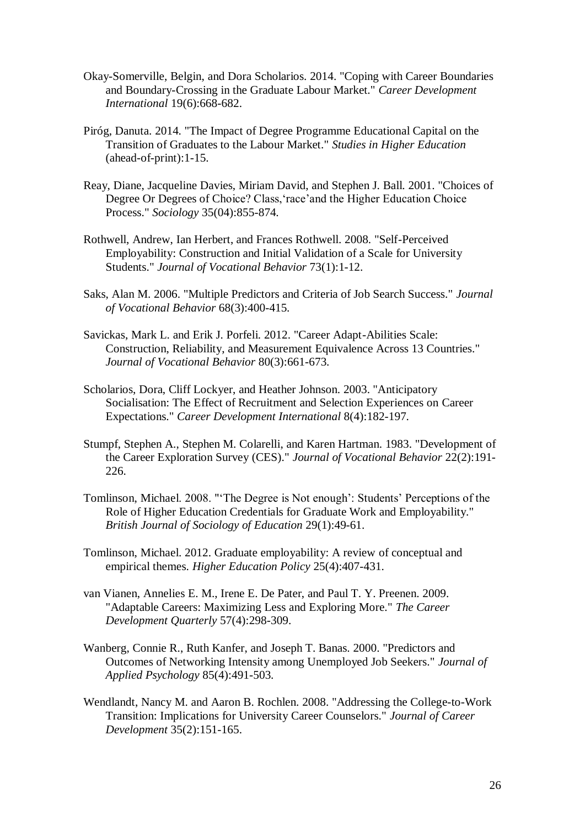- Okay-Somerville, Belgin, and Dora Scholarios. 2014. "Coping with Career Boundaries and Boundary-Crossing in the Graduate Labour Market." *Career Development International* 19(6):668-682.
- Piróg, Danuta. 2014. "The Impact of Degree Programme Educational Capital on the Transition of Graduates to the Labour Market." *Studies in Higher Education* (ahead-of-print):1-15.
- Reay, Diane, Jacqueline Davies, Miriam David, and Stephen J. Ball. 2001. "Choices of Degree Or Degrees of Choice? Class,'race'and the Higher Education Choice Process." *Sociology* 35(04):855-874.
- Rothwell, Andrew, Ian Herbert, and Frances Rothwell. 2008. "Self-Perceived Employability: Construction and Initial Validation of a Scale for University Students." *Journal of Vocational Behavior* 73(1):1-12.
- Saks, Alan M. 2006. "Multiple Predictors and Criteria of Job Search Success." *Journal of Vocational Behavior* 68(3):400-415.
- Savickas, Mark L. and Erik J. Porfeli. 2012. "Career Adapt-Abilities Scale: Construction, Reliability, and Measurement Equivalence Across 13 Countries." *Journal of Vocational Behavior* 80(3):661-673.
- Scholarios, Dora, Cliff Lockyer, and Heather Johnson. 2003. "Anticipatory Socialisation: The Effect of Recruitment and Selection Experiences on Career Expectations." *Career Development International* 8(4):182-197.
- Stumpf, Stephen A., Stephen M. Colarelli, and Karen Hartman. 1983. "Development of the Career Exploration Survey (CES)." *Journal of Vocational Behavior* 22(2):191- 226.
- Tomlinson, Michael. 2008. "'The Degree is Not enough': Students' Perceptions of the Role of Higher Education Credentials for Graduate Work and Employability." *British Journal of Sociology of Education* 29(1):49-61.
- Tomlinson, Michael. 2012. Graduate employability: A review of conceptual and empirical themes. *Higher Education Policy* 25(4):407-431.
- van Vianen, Annelies E. M., Irene E. De Pater, and Paul T. Y. Preenen. 2009. "Adaptable Careers: Maximizing Less and Exploring More." *The Career Development Quarterly* 57(4):298-309.
- Wanberg, Connie R., Ruth Kanfer, and Joseph T. Banas. 2000. "Predictors and Outcomes of Networking Intensity among Unemployed Job Seekers." *Journal of Applied Psychology* 85(4):491-503.
- Wendlandt, Nancy M. and Aaron B. Rochlen. 2008. "Addressing the College-to-Work Transition: Implications for University Career Counselors." *Journal of Career Development* 35(2):151-165.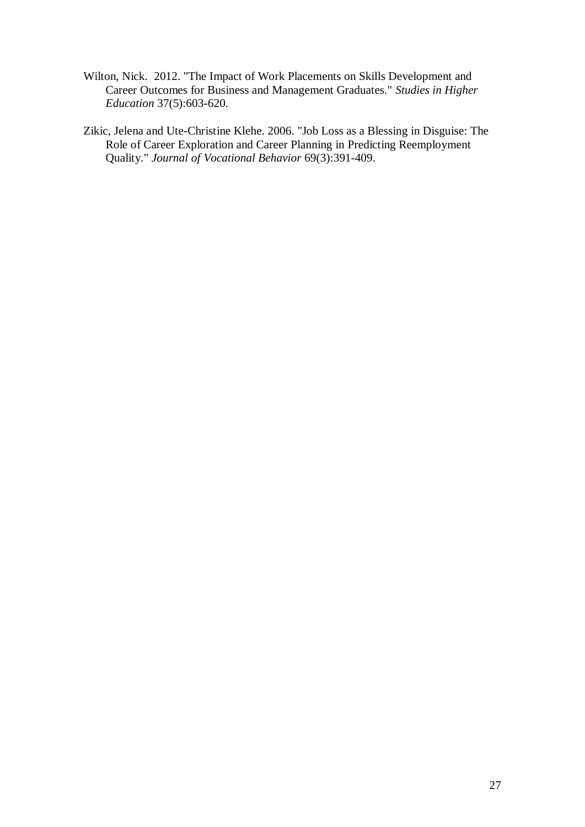- Wilton, Nick. 2012. "The Impact of Work Placements on Skills Development and Career Outcomes for Business and Management Graduates." *Studies in Higher Education* 37(5):603-620.
- Zikic, Jelena and Ute-Christine Klehe. 2006. "Job Loss as a Blessing in Disguise: The Role of Career Exploration and Career Planning in Predicting Reemployment Quality." *Journal of Vocational Behavior* 69(3):391-409.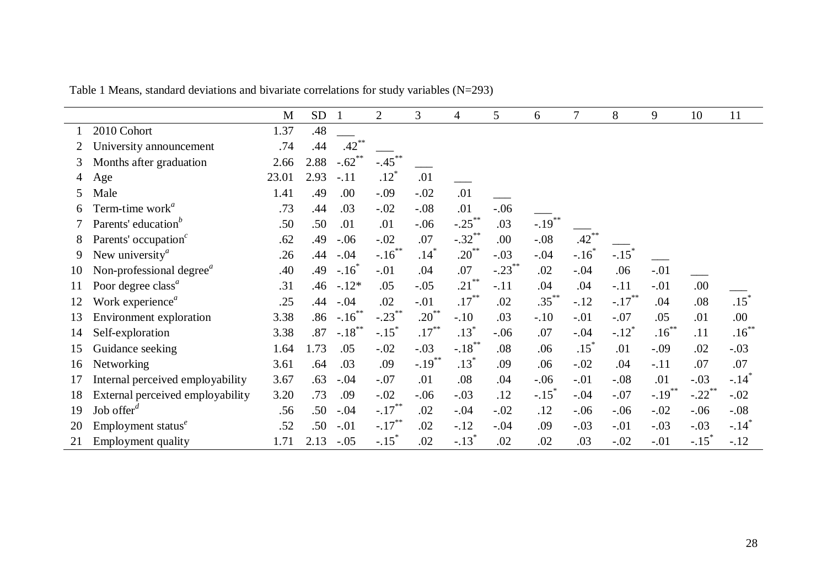|    |                                                   | M     | <b>SD</b> | $\overline{1}$      | $\overline{2}$       | 3          | 4                    | 5         | 6         | $\overline{7}$      | 8                   | 9         | 10                   | 11                  |
|----|---------------------------------------------------|-------|-----------|---------------------|----------------------|------------|----------------------|-----------|-----------|---------------------|---------------------|-----------|----------------------|---------------------|
|    | 2010 Cohort                                       | 1.37  | .48       |                     |                      |            |                      |           |           |                     |                     |           |                      |                     |
|    | University announcement                           | .74   | .44       | .42                 |                      |            |                      |           |           |                     |                     |           |                      |                     |
| 3  | Months after graduation                           | 2.66  | 2.88      | $-.62$              | $-.45$ <sup>**</sup> |            |                      |           |           |                     |                     |           |                      |                     |
| 4  | Age                                               | 23.01 | 2.93      | $-.11$              | $.12*$               | .01        |                      |           |           |                     |                     |           |                      |                     |
| 5  | Male                                              | 1.41  | .49       | .00                 | $-.09$               | $-.02$     | .01                  |           |           |                     |                     |           |                      |                     |
| 6  | Term-time work <sup><math>a</math></sup>          | .73   | .44       | .03                 | $-.02$               | $-.08$     | .01                  | $-.06$    |           |                     |                     |           |                      |                     |
|    | Parents' education <sup>b</sup>                   | .50   | .50       | .01                 | .01                  | $-.06$     | $-.25***$            | .03       | $-.19***$ |                     |                     |           |                      |                     |
| 8  | Parents' occupation <sup>c</sup>                  | .62   | .49       | $-.06$              | $-.02$               | .07        | $-.32$ <sup>**</sup> | .00       | $-.08$    | .42                 |                     |           |                      |                     |
| 9  | New university $\alpha$                           | .26   | .44       | $-.04$              | $-.16***$            | $.14*$     | $.20^{**}$           | $-.03$    | $-.04$    | $-.16$ <sup>*</sup> | $-.15$ <sup>*</sup> |           |                      |                     |
| 10 | Non-professional degree <sup><math>a</math></sup> | .40   | .49       | $-.16$ <sup>*</sup> | $-.01$               | .04        | .07                  | $-.23***$ | .02       | $-.04$              | .06                 | $-.01$    |                      |                     |
| 11 | Poor degree class <sup>a</sup>                    | .31   | .46       | $-.12*$             | .05                  | $-.05$     | $21$ <sup>**</sup>   | $-.11$    | .04       | .04                 | $-.11$              | $-.01$    | .00                  |                     |
|    | Work experience <sup>a</sup>                      | .25   | .44       | $-.04$              | .02                  | $-.01$     | $.17***$             | .02       | $.35***$  | $-.12$              | $-.17$              | .04       | .08                  | $.15*$              |
| 13 | <b>Environment</b> exploration                    | 3.38  | .86       | $-.16***$           | $-.23$ **            | $.20^{**}$ | $-.10$               | .03       | $-.10$    | $-.01$              | $-.07$              | .05       | .01                  | .00                 |
| 14 | Self-exploration                                  | 3.38  | .87       | $-.18***$           | $-.15$ <sup>*</sup>  | $.17***$   | $.13*$               | $-.06$    | .07       | $-.04$              | $-.12$ <sup>*</sup> | $.16***$  | .11                  | $.16***$            |
| 15 | Guidance seeking                                  | 1.64  | 1.73      | .05                 | $-.02$               | $-.03$     | $-.18***$            | .08       | .06       | $.15*$              | .01                 | $-.09$    | .02                  | $-.03$              |
| 16 | Networking                                        | 3.61  | .64       | .03                 | .09                  | $-.19***$  | $.13*$               | .09       | .06       | $-.02$              | .04                 | $-.11$    | .07                  | .07                 |
| 17 | Internal perceived employability                  | 3.67  | .63       | $-.04$              | $-.07$               | .01        | .08                  | .04       | $-.06$    | $-.01$              | $-.08$              | .01       | $-.03$               | $-.14$ <sup>*</sup> |
| 18 | External perceived employability                  | 3.20  | .73       | .09                 | $-.02$               | $-.06$     | $-.03$               | .12       | $-.15$    | $-.04$              | $-.07$              | $-.19***$ | $-.22$ <sup>**</sup> | $-.02$              |
| 19 | Job offer $d$                                     | .56   | .50       | $-.04$              | $-.17***$            | .02        | $-.04$               | $-.02$    | .12       | $-.06$              | $-.06$              | $-.02$    | $-.06$               | $-.08$              |
| 20 | Employment status $^e$                            | .52   | .50       | $-.01$              | $-.17***$            | .02        | $-.12$               | $-.04$    | .09       | $-.03$              | $-.01$              | $-.03$    | $-.03$               | $-.14$ <sup>*</sup> |
| 21 | <b>Employment quality</b>                         | 1.71  | 2.13      | $-.05$              | $-.15$               | .02        | $-.13$               | .02       | .02       | .03                 | $-.02$              | $-.01$    | $-.15$ <sup>*</sup>  | $-.12$              |

Table 1 Means, standard deviations and bivariate correlations for study variables (N=293)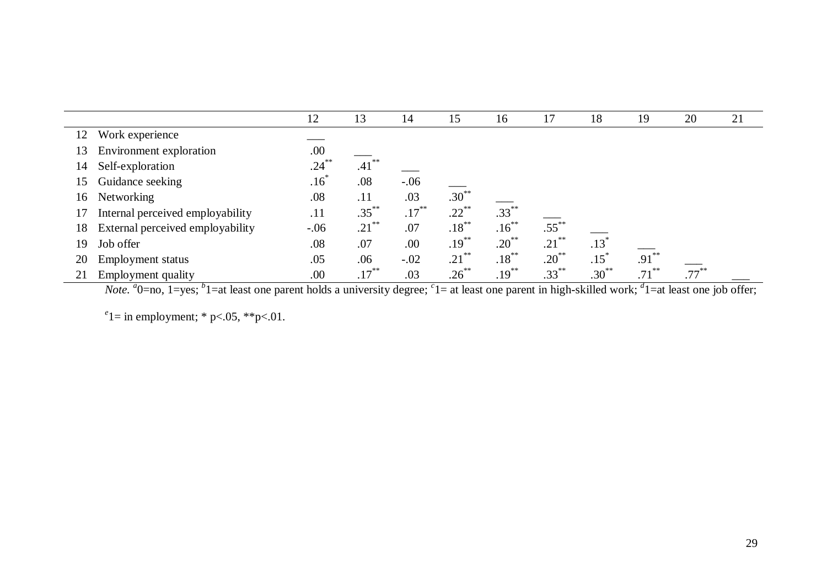|    |                                  | 12       | 13                  | 14       | 15                  | 16         | 17       | 18                 | 19       | 20 | 21 |
|----|----------------------------------|----------|---------------------|----------|---------------------|------------|----------|--------------------|----------|----|----|
| 12 | Work experience                  |          |                     |          |                     |            |          |                    |          |    |    |
| 13 | Environment exploration          | .00      |                     |          |                     |            |          |                    |          |    |    |
| 14 | Self-exploration                 | $.24***$ | .41                 |          |                     |            |          |                    |          |    |    |
| 15 | Guidance seeking                 | $.16^*$  | .08                 | $-.06$   |                     |            |          |                    |          |    |    |
| 16 | Networking                       | .08      | .11                 | .03      | $.30***$            |            |          |                    |          |    |    |
|    | Internal perceived employability | .11      | $.35***$            | $.17***$ | $.22$ <sup>**</sup> | $.33***$   |          |                    |          |    |    |
| 18 | External perceived employability | $-.06$   | $.21$ <sup>**</sup> | .07      | $.18***$            | $.16***$   | $.55***$ |                    |          |    |    |
| 19 | Job offer                        | .08      | .07                 | .00      | $.19***$            | $.20^{**}$ | $.21***$ | .13 <sup>′</sup>   |          |    |    |
| 20 | <b>Employment status</b>         | .05      | .06                 | $-.02$   | $.21$ <sup>**</sup> | $.18***$   | $.20***$ | $.15$ <sup>*</sup> | $.91***$ |    |    |
|    | Employment quality               | .00      | $.17***$            | .03      | $.26***$            | $.19***$   | $.33***$ | $.30***$           | $.71***$ |    |    |

*Note*. <sup>*a*</sup>O=no, 1=yes; <sup>*b*</sup>1=at least one parent holds a university degree; <sup>*c*</sup>1= at least one parent in high-skilled work; <sup>*d*</sup>1=at least one job offer;

 $e^e$ 1 = in employment; \* p<.05, \*\*p<.01.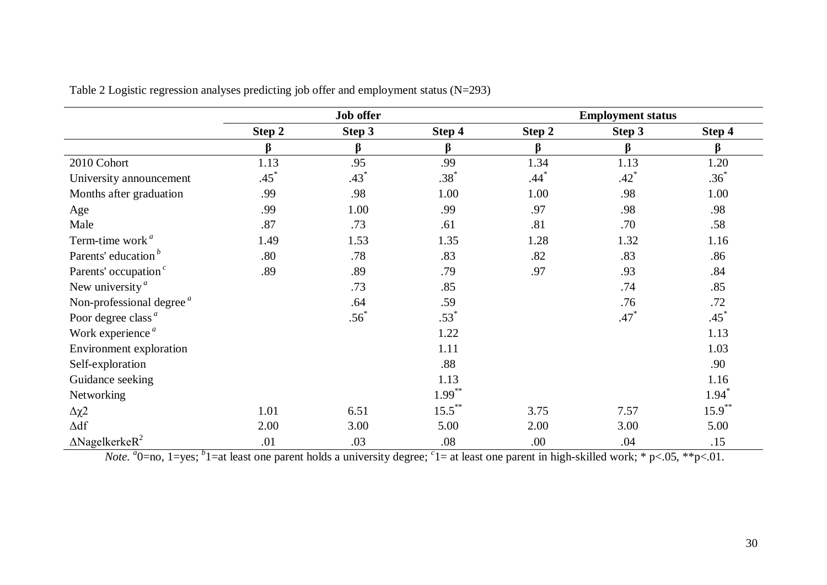|                                             |        | <b>Job offer</b> |           |                    | <b>Employment status</b> |           |
|---------------------------------------------|--------|------------------|-----------|--------------------|--------------------------|-----------|
|                                             | Step 2 | Step 3           | Step 4    | Step 2             | Step 3                   | Step 4    |
|                                             | β      | β                | β         | $\beta$            | $\beta$                  | β         |
| 2010 Cohort                                 | 1.13   | .95              | .99       | 1.34               | 1.13                     | 1.20      |
| University announcement                     | $.45*$ | $.43*$           | $.38*$    | $.44$ <sup>*</sup> | $.42^{*}$                | $.36*$    |
| Months after graduation                     | .99    | .98              | 1.00      | 1.00               | .98                      | 1.00      |
| Age                                         | .99    | 1.00             | .99       | .97                | .98                      | .98       |
| Male                                        | .87    | .73              | .61       | .81                | .70                      | .58       |
| Term-time work <sup>a</sup>                 | 1.49   | 1.53             | 1.35      | 1.28               | 1.32                     | 1.16      |
| Parents' education <sup>b</sup>             | .80    | .78              | .83       | .82                | .83                      | .86       |
| Parents' occupation <sup>c</sup>            | .89    | .89              | .79       | .97                | .93                      | .84       |
| New university $\alpha$                     |        | .73              | .85       |                    | .74                      | .85       |
| Non-professional degree $a$                 |        | .64              | .59       |                    | .76                      | .72       |
| Poor degree class <sup><math>a</math></sup> |        | $.56*$           | $.53*$    |                    | $.47*$                   | $.45*$    |
| Work experience <sup>a</sup>                |        |                  | 1.22      |                    |                          | 1.13      |
| Environment exploration                     |        |                  | 1.11      |                    |                          | 1.03      |
| Self-exploration                            |        |                  | .88       |                    |                          | .90       |
| Guidance seeking                            |        |                  | 1.13      |                    |                          | 1.16      |
| Networking                                  |        |                  | $1.99***$ |                    |                          | $1.94*$   |
| $\Delta \chi$ 2                             | 1.01   | 6.51             | $15.5***$ | 3.75               | 7.57                     | $15.9***$ |
| $\Delta \mathrm{df}$                        | 2.00   | 3.00             | 5.00      | 2.00               | 3.00                     | 5.00      |
| $\triangle$ Nagelkerke $R^2$                | .01    | .03              | .08       | .00.               | .04                      | .15       |

Table 2 Logistic regression analyses predicting job offer and employment status (N=293)

*Note.*  $a_0$ =no, 1=yes;  $b_1$ =at least one parent holds a university degree;  $c_1$ = at least one parent in high-skilled work;  $a_1$  p<.05,  $a_2$  p<.01.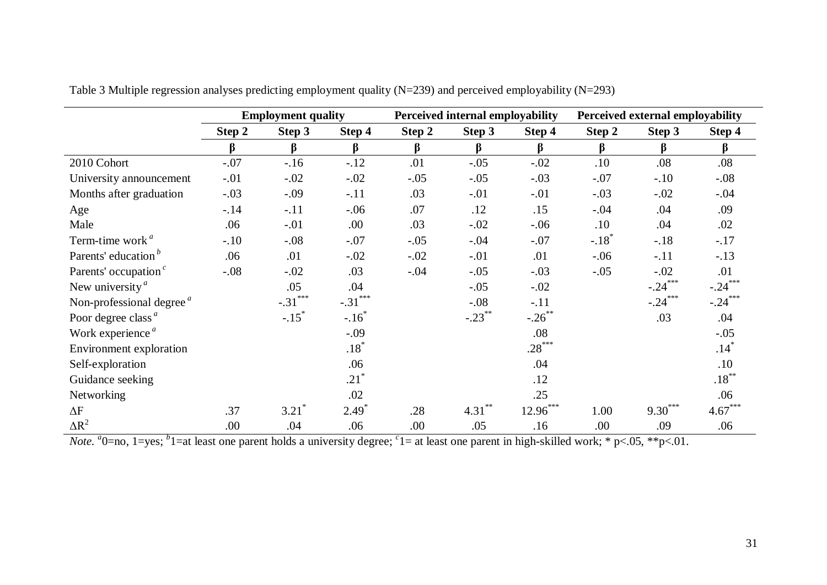|                                               | <b>Employment quality</b> |                            |           |        | Perceived internal employability |            | Perceived external employability |           |                    |  |
|-----------------------------------------------|---------------------------|----------------------------|-----------|--------|----------------------------------|------------|----------------------------------|-----------|--------------------|--|
|                                               | Step 2                    | Step 3                     | Step 4    | Step 2 | Step 3                           | Step 4     | Step 2                           | Step 3    | Step 4             |  |
|                                               | β                         | β                          | β         | β      | $\beta$                          | $\beta$    | $\beta$                          | $\beta$   | β                  |  |
| 2010 Cohort                                   | $-.07$                    | $-.16$                     | $-.12$    | .01    | $-.05$                           | $-.02$     | .10                              | .08       | .08                |  |
| University announcement                       | $-.01$                    | $-.02$                     | $-.02$    | $-.05$ | $-.05$                           | $-.03$     | $-.07$                           | $-.10$    | $-.08$             |  |
| Months after graduation                       | $-.03$                    | $-.09$                     | $-.11$    | .03    | $-.01$                           | $-.01$     | $-.03$                           | $-.02$    | $-.04$             |  |
| Age                                           | $-.14$                    | $-.11$                     | $-.06$    | .07    | .12                              | .15        | $-.04$                           | .04       | .09                |  |
| Male                                          | .06                       | $-.01$                     | .00       | .03    | $-.02$                           | $-.06$     | .10                              | .04       | .02                |  |
| Term-time work <sup>a</sup>                   | $-.10$                    | $-.08$                     | $-.07$    | $-.05$ | $-.04$                           | $-.07$     | $-.18$ <sup>*</sup>              | $-.18$    | $-.17$             |  |
| Parents' education <sup>b</sup>               | .06                       | .01                        | $-.02$    | $-.02$ | $-.01$                           | .01        | $-.06$                           | $-.11$    | $-.13$             |  |
| Parents' occupation <sup><math>c</math></sup> | $-.08$                    | $-.02$                     | .03       | $-.04$ | $-.05$                           | $-.03$     | $-.05$                           | $-.02$    | .01                |  |
| New university $\alpha$                       |                           | .05                        | .04       |        | $-.05$                           | $-.02$     |                                  | $-.24***$ | $-.24***$          |  |
| Non-professional degree $a$                   |                           | ***<br>$-.31$ <sup>*</sup> | $-.31***$ |        | $-.08$                           | $-.11$     |                                  | $-.24$    | $-.24***$          |  |
| Poor degree class <sup><math>a</math></sup>   |                           | $-.15$ <sup>*</sup>        | $-.16$    |        | $-.23$ **                        | $-.26$ **  |                                  | .03       | .04                |  |
| Work experience <sup>a</sup>                  |                           |                            | $-.09$    |        |                                  | .08        |                                  |           | $-.05$             |  |
| Environment exploration                       |                           |                            | $.18*$    |        |                                  | $.28***$   |                                  |           | $.14$ <sup>*</sup> |  |
| Self-exploration                              |                           |                            | .06       |        |                                  | .04        |                                  |           | .10                |  |
| Guidance seeking                              |                           |                            | $.21*$    |        |                                  | .12        |                                  |           | $.18***$           |  |
| Networking                                    |                           |                            | .02       |        |                                  | .25        |                                  |           | .06                |  |
| $\Delta F$                                    | .37                       | $3.21$ <sup>*</sup>        | $2.49*$   | .28    | $4.31***$                        | $12.96***$ | 1.00                             | $9.30***$ | $4.67***$          |  |
| $\Delta R^2$                                  | .00                       | .04                        | .06       | .00    | .05                              | .16        | .00                              | .09       | .06                |  |

Table 3 Multiple regression analyses predicting employment quality (N=239) and perceived employability (N=293)

*Note*.  $a_0$ =no, 1=yes;  $b_0$ 1=at least one parent holds a university degree;  $c_1$ = at least one parent in high-skilled work;  $a_0$  + p<.05,  $a_0$  + p<.01.